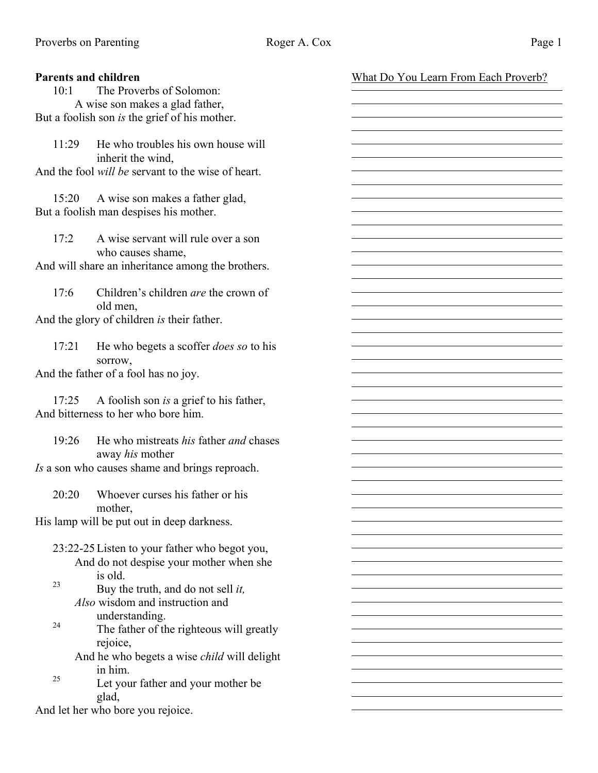| <b>Parents and children</b>                          |                                                    | What Do You Learn From Each Proverb? |  |
|------------------------------------------------------|----------------------------------------------------|--------------------------------------|--|
| 10:1                                                 | The Proverbs of Solomon:                           |                                      |  |
| A wise son makes a glad father,                      |                                                    |                                      |  |
| But a foolish son <i>is</i> the grief of his mother. |                                                    |                                      |  |
|                                                      |                                                    |                                      |  |
| 11:29                                                | He who troubles his own house will                 |                                      |  |
|                                                      | inherit the wind,                                  |                                      |  |
|                                                      | And the fool will be servant to the wise of heart. |                                      |  |
|                                                      |                                                    |                                      |  |
| 15:20                                                | A wise son makes a father glad,                    |                                      |  |
|                                                      | But a foolish man despises his mother.             |                                      |  |
|                                                      |                                                    |                                      |  |
| 17:2                                                 | A wise servant will rule over a son                |                                      |  |
|                                                      | who causes shame,                                  |                                      |  |
| And will share an inheritance among the brothers.    |                                                    |                                      |  |
|                                                      |                                                    |                                      |  |
| 17:6                                                 | Children's children <i>are</i> the crown of        |                                      |  |
|                                                      | old men,                                           |                                      |  |
| And the glory of children is their father.           |                                                    |                                      |  |
|                                                      |                                                    |                                      |  |
| 17:21                                                | He who begets a scoffer <i>does so</i> to his      |                                      |  |
|                                                      | sorrow,                                            |                                      |  |
| And the father of a fool has no joy.                 |                                                    |                                      |  |
|                                                      |                                                    |                                      |  |
| 17:25                                                | A foolish son is a grief to his father,            |                                      |  |
|                                                      | And bitterness to her who bore him.                |                                      |  |
|                                                      |                                                    |                                      |  |
| 19:26                                                | He who mistreats his father and chases             |                                      |  |
|                                                      | away his mother                                    |                                      |  |
| Is a son who causes shame and brings reproach.       |                                                    |                                      |  |
|                                                      |                                                    |                                      |  |
| 20:20                                                | Whoever curses his father or his                   |                                      |  |
|                                                      | mother,                                            |                                      |  |
|                                                      | His lamp will be put out in deep darkness.         |                                      |  |
|                                                      |                                                    |                                      |  |
| 23:22-25 Listen to your father who begot you,        |                                                    |                                      |  |
|                                                      | And do not despise your mother when she            |                                      |  |
|                                                      | is old.                                            |                                      |  |
| 23                                                   | Buy the truth, and do not sell it,                 |                                      |  |
|                                                      | Also wisdom and instruction and                    |                                      |  |
|                                                      |                                                    |                                      |  |
| 24                                                   | understanding.                                     |                                      |  |
|                                                      | The father of the righteous will greatly           |                                      |  |
|                                                      | rejoice,                                           |                                      |  |
|                                                      | And he who begets a wise child will delight        |                                      |  |
| 25                                                   | in him.                                            |                                      |  |
|                                                      | Let your father and your mother be                 |                                      |  |
|                                                      | glad,                                              |                                      |  |
| And let her who bore you rejoice.                    |                                                    |                                      |  |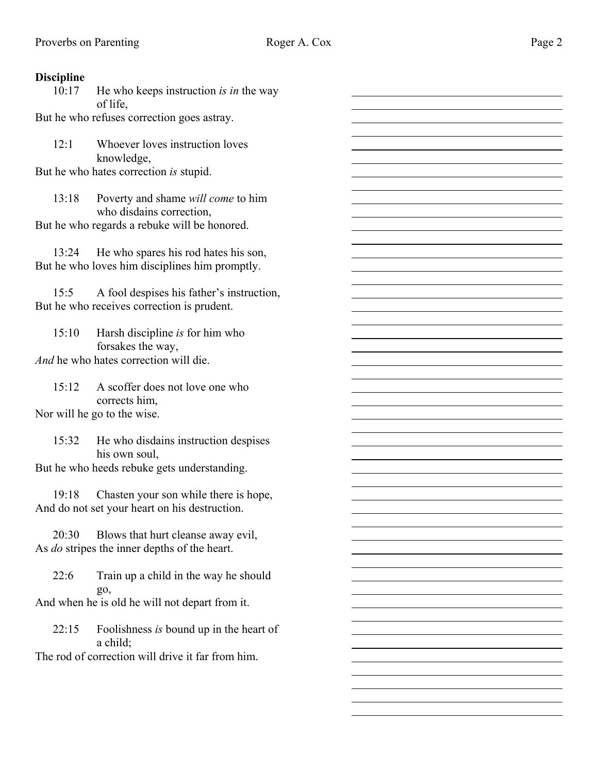$\overline{a}$  $\overline{a}$ 

## **Discipline**

10:17 He who keeps instruction *is in* the way of life,

But he who refuses correction goes astray.

12:1 Whoever loves instruction loves knowledge,

But he who hates correction *is* stupid.

13:18 Poverty and shame *will come* to him who disdains correction, But he who regards a rebuke will be honored.

13:24 He who spares his rod hates his son, But he who loves him disciplines him promptly.

15:5 A fool despises his father's instruction, But he who receives correction is prudent.

15:10 Harsh discipline *is* for him who forsakes the way, *And* he who hates correction will die.

15:12 A scoffer does not love one who corrects him, Nor will he go to the wise.

15:32 He who disdains instruction despises his own soul,

But he who heeds rebuke gets understanding.

19:18 Chasten your son while there is hope, And do not set your heart on his destruction.

20:30 Blows that hurt cleanse away evil, As *do* stripes the inner depths of the heart.

22:6 Train up a child in the way he should go,

And when he is old he will not depart from it.

22:15 Foolishness *is* bound up in the heart of a child;

The rod of correction will drive it far from him.